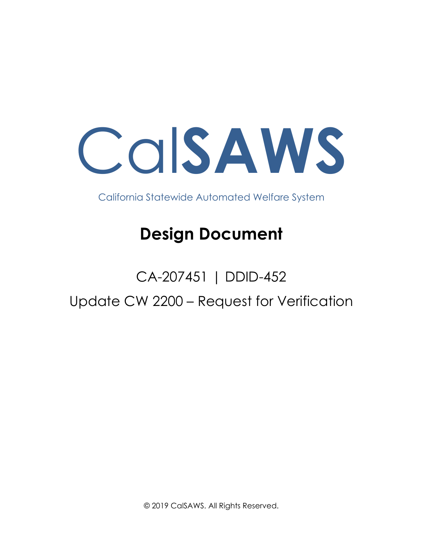Cal**SAWS**

California Statewide Automated Welfare System

## **Design Document**

# CA-207451 | DDID-452 Update CW 2200 – Request for Verification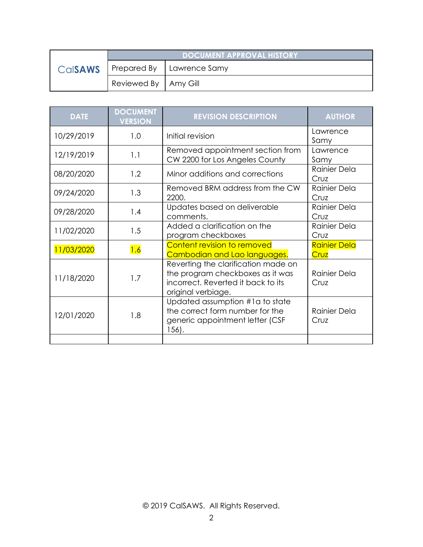|                | <b>DOCUMENT APPROVAL HISTORY</b> |                             |  |
|----------------|----------------------------------|-----------------------------|--|
| <b>Calsaws</b> |                                  | Prepared By   Lawrence Samy |  |
|                | Reviewed By   Amy Gill           |                             |  |

| <b>DATE</b> | <b>DOCUMENT</b><br><b>VERSION</b> | <b>REVISION DESCRIPTION</b>                                                                                                         | <b>AUTHOR</b>               |
|-------------|-----------------------------------|-------------------------------------------------------------------------------------------------------------------------------------|-----------------------------|
| 10/29/2019  | 1.0                               | Initial revision                                                                                                                    | Lawrence<br>Samy            |
| 12/19/2019  | 1.1                               | Removed appointment section from<br>CW 2200 for Los Angeles County                                                                  | Lawrence<br>Samy            |
| 08/20/2020  | 1.2                               | Minor additions and corrections                                                                                                     | Rainier Dela<br>Cruz        |
| 09/24/2020  | 1.3                               | Removed BRM address from the CW<br>2200.                                                                                            | Rainier Dela<br>Cruz        |
| 09/28/2020  | 1.4                               | Updates based on deliverable<br>comments.                                                                                           | Rainier Dela<br>Cruz        |
| 11/02/2020  | 1.5                               | Added a clarification on the<br>program checkboxes                                                                                  | Rainier Dela<br>Cruz        |
| 11/03/2020  | 1.6                               | Content revision to removed<br>Cambodian and Lao languages.                                                                         | <b>Rainier Dela</b><br>Cruz |
| 11/18/2020  | 1.7                               | Reverting the clarification made on<br>the program checkboxes as it was<br>incorrect. Reverted it back to its<br>original verbiage. | Rainier Dela<br>Cruz        |
| 12/01/2020  | 1.8                               | Updated assumption #1a to state<br>the correct form number for the<br>generic appointment letter (CSF<br>156).                      | Rainier Dela<br>Cruz        |
|             |                                   |                                                                                                                                     |                             |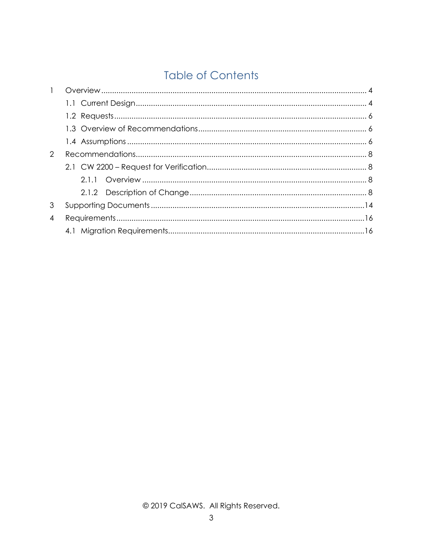## **Table of Contents**

| $\mathbf{1}$   |  |
|----------------|--|
|                |  |
|                |  |
|                |  |
|                |  |
| 2              |  |
|                |  |
|                |  |
|                |  |
| 3              |  |
| $\overline{4}$ |  |
|                |  |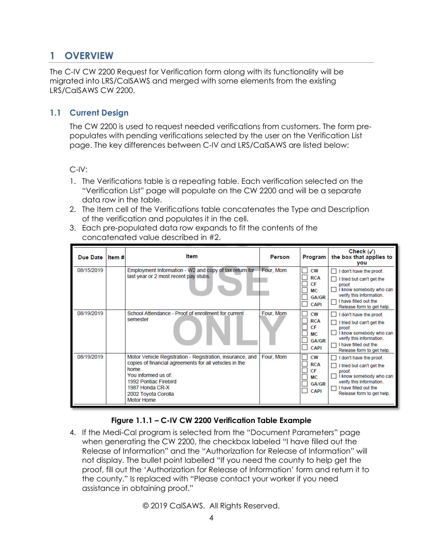## <span id="page-3-0"></span>**1 OVERVIEW**

The C-IV CW 2200 Request for Verification form along with its functionality will be migrated into LRS/CalSAWS and merged with some elements from the existing LRS/CalSAWS CW 2200.

## <span id="page-3-1"></span>**1.1 Current Design**

The CW 2200 is used to request needed verifications from customers. The form prepopulates with pending verifications selected by the user on the Verification List page. The key differences between C-IV and LRS/CalSAWS are listed below:

C-IV:

- 1. The Verifications table is a repeating table. Each verification selected on the "Verification List" page will populate on the CW 2200 and will be a separate data row in the table.
- 2. The Item cell of the Verifications table concatenates the Type and Description of the verification and populates it in the cell.
- 3. Each pre-populated data row expands to fit the contents of the concatenated value described in #2.

| Due Date Item# | ltem                                                                                                                                                                                                                                        | Person    | Program                                                                   | Check $(\checkmark)$<br>the box that applies to<br>you                                                                                                                      |
|----------------|---------------------------------------------------------------------------------------------------------------------------------------------------------------------------------------------------------------------------------------------|-----------|---------------------------------------------------------------------------|-----------------------------------------------------------------------------------------------------------------------------------------------------------------------------|
| 08/15/2019     | Employment Information - W2 and copy of tax return for<br>last year or 2 most recent pay stubs.                                                                                                                                             | Four, Mom | <b>CW</b><br><b>RCA</b><br>CF<br>MС<br><b>GA/GR</b><br><b>CAPI</b>        | I don't have the proof.<br>I tried but can't get the<br>proof.<br>I know somebody who can<br>verify this information.<br>I have filled out the<br>Release form to get help. |
| 08/19/2019     | School Attendance - Proof of enrollment for current<br>semester                                                                                                                                                                             | Four, Mom | <b>CW</b><br><b>RCA</b><br>CF<br><b>MC</b><br><b>GA/GR</b><br><b>CAPI</b> | I don't have the proof.<br>I tried but can't get the<br>proof.<br>I know somebody who can<br>verify this information.<br>I have filled out the<br>Release form to get help. |
| 08/19/2019     | Motor Vehicle Registration - Registration, insurance, and<br>copies of financial agreements for all vehicles in the<br>home.<br>You informed us of:<br>1992 Pontiac Firebird<br>1987 Honda CR-X<br>2002 Toyota Corolla<br><b>Motor Home</b> | Four, Mom | <b>CW</b><br><b>RCA</b><br>CF<br>МC<br><b>GA/GR</b><br><b>CAPI</b>        | I don't have the proof.<br>I tried but can't get the<br>proof.<br>I know somebody who can<br>verify this information.<br>I have filled out the<br>Release form to get help. |

## **Figure 1.1.1 – C-IV CW 2200 Verification Table Example**

4. If the Medi-Cal program is selected from the "Document Parameters" page when generating the CW 2200, the checkbox labeled "I have filled out the Release of Information" and the "Authorization for Release of Information" will not display. The bullet point labelled "If you need the county to help get the proof, fill out the 'Authorization for Release of Information' form and return it to the county." Is replaced with "Please contact your worker if you need assistance in obtaining proof."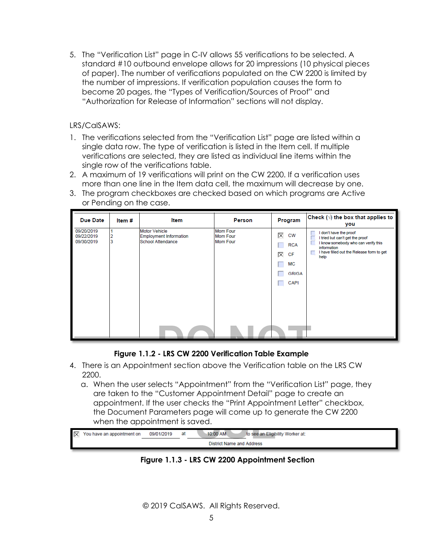5. The "Verification List" page in C-IV allows 55 verifications to be selected. A standard #10 outbound envelope allows for 20 impressions (10 physical pieces of paper). The number of verifications populated on the CW 2200 is limited by the number of impressions. If verification population causes the form to become 20 pages, the "Types of Verification/Sources of Proof" and "Authorization for Release of Information" sections will not display.

LRS/CalSAWS:

- 1. The verifications selected from the "Verification List" page are listed within a single data row. The type of verification is listed in the Item cell. If multiple verifications are selected, they are listed as individual line items within the single row of the verifications table.
- 2. A maximum of 19 verifications will print on the CW 2200. If a verification uses more than one line in the Item data cell, the maximum will decrease by one.
- 3. The program checkboxes are checked based on which programs are Active or Pending on the case.

| <b>Due Date</b>                        | Item#  | Item                                                                       | Person                                                | Program                                                                      | Check $(\sqrt{})$ the box that applies to<br>you                                                                                                                          |
|----------------------------------------|--------|----------------------------------------------------------------------------|-------------------------------------------------------|------------------------------------------------------------------------------|---------------------------------------------------------------------------------------------------------------------------------------------------------------------------|
| 09/20/2019<br>09/22/2019<br>09/30/2019 | 2<br>3 | <b>Motor Vehicle</b><br><b>Employment Information</b><br>School Attendance | <b>Mom Four</b><br><b>Mom Four</b><br><b>Mom Four</b> | 区<br><b>CW</b><br><b>RCA</b><br>区<br>CF<br>МC<br><b>GR/GA</b><br><b>CAPI</b> | I don't have the proof<br>I tried but can't get the proof<br>I know somebody who can verify this<br>information<br>I have filled out the Release form to get<br>п<br>help |

#### **Figure 1.1.2 - LRS CW 2200 Verification Table Example**

- 4. There is an Appointment section above the Verification table on the LRS CW 2200.
	- a. When the user selects "Appointment" from the "Verification List" page, they are taken to the "Customer Appointment Detail" page to create an appointment. If the user checks the "Print Appointment Letter" checkbox, the Document Parameters page will come up to generate the CW 2200 when the appointment is saved.

| $\overline{\times}$ | You have an appointment on | 09/01/2019                | at | 10:00 AM<br>to see an Eligibility Worker at: |  |  |
|---------------------|----------------------------|---------------------------|----|----------------------------------------------|--|--|
|                     |                            | District Name and Address |    |                                              |  |  |

**Figure 1.1.3 - LRS CW 2200 Appointment Section**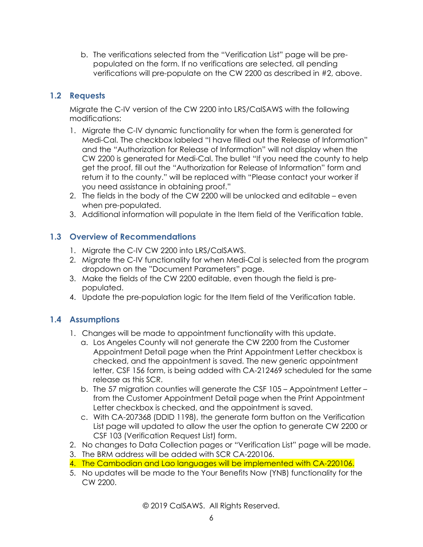b. The verifications selected from the "Verification List" page will be prepopulated on the form. If no verifications are selected, all pending verifications will pre-populate on the CW 2200 as described in #2, above.

## <span id="page-5-0"></span>**1.2 Requests**

Migrate the C-IV version of the CW 2200 into LRS/CalSAWS with the following modifications:

- 1. Migrate the C-IV dynamic functionality for when the form is generated for Medi-Cal. The checkbox labeled "I have filled out the Release of Information" and the "Authorization for Release of Information" will not display when the CW 2200 is generated for Medi-Cal. The bullet "If you need the county to help get the proof, fill out the "Authorization for Release of Information" form and return it to the county." will be replaced with "Please contact your worker if you need assistance in obtaining proof."
- 2. The fields in the body of the CW 2200 will be unlocked and editable even when pre-populated.
- 3. Additional information will populate in the Item field of the Verification table.

## <span id="page-5-1"></span>**1.3 Overview of Recommendations**

- 1. Migrate the C-IV CW 2200 into LRS/CalSAWS.
- 2. Migrate the C-IV functionality for when Medi-Cal is selected from the program dropdown on the "Document Parameters" page.
- 3. Make the fields of the CW 2200 editable, even though the field is prepopulated.
- 4. Update the pre-population logic for the Item field of the Verification table.

## <span id="page-5-2"></span>**1.4 Assumptions**

- 1. Changes will be made to appointment functionality with this update.
	- a. Los Angeles County will not generate the CW 2200 from the Customer Appointment Detail page when the Print Appointment Letter checkbox is checked, and the appointment is saved. The new generic appointment letter, CSF 156 form, is being added with CA-212469 scheduled for the same release as this SCR.
	- b. The 57 migration counties will generate the CSF 105 Appointment Letter from the Customer Appointment Detail page when the Print Appointment Letter checkbox is checked, and the appointment is saved.
	- c. With CA-207368 (DDID 1198), the generate form button on the Verification List page will updated to allow the user the option to generate CW 2200 or CSF 103 (Verification Request List) form.
- 2. No changes to Data Collection pages or "Verification List" page will be made.
- 3. The BRM address will be added with SCR CA-220106.
- 4. The Cambodian and Lao languages will be implemented with CA-220106.
- 5. No updates will be made to the Your Benefits Now (YNB) functionality for the CW 2200.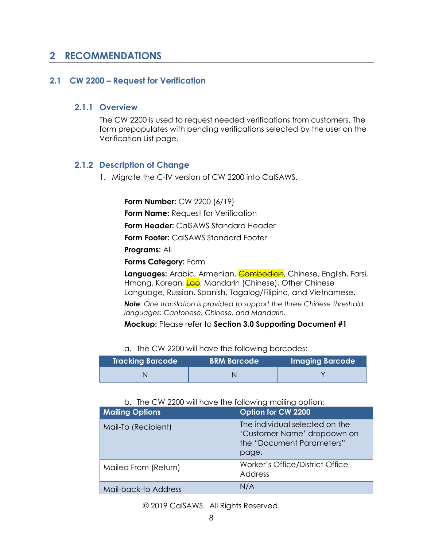## <span id="page-7-0"></span>**2 RECOMMENDATIONS**

#### <span id="page-7-2"></span><span id="page-7-1"></span>**2.1 CW 2200 – Request for Verification**

#### **2.1.1 Overview**

The CW 2200 is used to request needed verifications from customers. The form prepopulates with pending verifications selected by the user on the Verification List page.

#### <span id="page-7-3"></span>**2.1.2 Description of Change**

1. Migrate the C-IV version of CW 2200 into CalSAWS.

**Form Number:** CW 2200 (6/19)

**Form Name: Request for Verification** 

**Form Header:** CalSAWS Standard Header

**Form Footer:** CalSAWS Standard Footer

**Programs:** All

**Forms Category:** Form

**Languages:** Arabic, Armenian, **Cambodian**, Chinese, English, Farsi, Hmong, Korean, Lao, Mandarin (Chinese), Other Chinese Language, Russian, Spanish, Tagalog/Filipino, and Vietnamese.

*Note: One translation is provided to support the three Chinese threshold languages: Cantonese, Chinese, and Mandarin.*

**Mockup:** Please refer to **Section 3.0 Supporting Document #1**

a. The CW 2200 will have the following barcodes:

| <b>Tracking Barcode</b> | <b>BRM Barcode</b> | <b>Imaging Barcode</b> |
|-------------------------|--------------------|------------------------|
|                         |                    |                        |

#### b. The CW 2200 will have the following mailing option:

| <b>Mailing Options</b> | Option for CW 2200                                                                                  |
|------------------------|-----------------------------------------------------------------------------------------------------|
| Mail-To (Recipient)    | The individual selected on the<br>'Customer Name' dropdown on<br>the "Document Parameters"<br>page. |
| Mailed From (Return)   | Worker's Office/District Office<br>Address                                                          |
| Mail-back-to Address   | N/A                                                                                                 |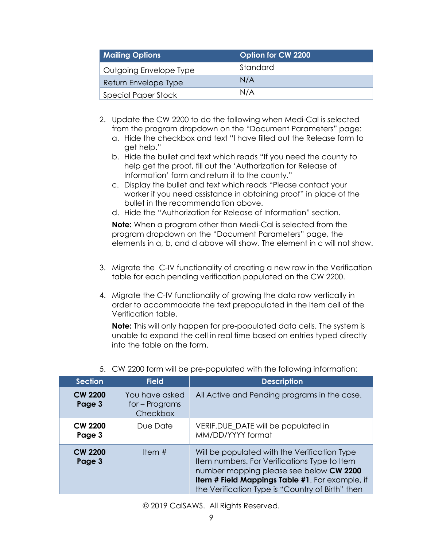| <b>Mailing Options</b> | Option for CW 2200 |
|------------------------|--------------------|
| Outgoing Envelope Type | Standard           |
| Return Envelope Type   | N/A                |
| Special Paper Stock    | N/A                |

- 2. Update the CW 2200 to do the following when Medi-Cal is selected from the program dropdown on the "Document Parameters" page:
	- a. Hide the checkbox and text "I have filled out the Release form to get help."
	- b. Hide the bullet and text which reads "If you need the county to help get the proof, fill out the 'Authorization for Release of Information' form and return it to the county."
	- c. Display the bullet and text which reads "Please contact your worker if you need assistance in obtaining proof" in place of the bullet in the recommendation above.
	- d. Hide the "Authorization for Release of Information" section.

**Note:** When a program other than Medi-Cal is selected from the program dropdown on the "Document Parameters" page, the elements in a, b, and d above will show. The element in c will not show.

- 3. Migrate the C-IV functionality of creating a new row in the Verification table for each pending verification populated on the CW 2200.
- 4. Migrate the C-IV functionality of growing the data row vertically in order to accommodate the text prepopulated in the Item cell of the Verification table.

**Note:** This will only happen for pre-populated data cells. The system is unable to expand the cell in real time based on entries typed directly into the table on the form.

| <b>Section</b>           | <b>Field</b>                                 | <b>Description</b>                                                                                                                                                                                                                             |
|--------------------------|----------------------------------------------|------------------------------------------------------------------------------------------------------------------------------------------------------------------------------------------------------------------------------------------------|
| <b>CW 2200</b><br>Page 3 | You have asked<br>for – Programs<br>Checkbox | All Active and Pending programs in the case.                                                                                                                                                                                                   |
| <b>CW 2200</b><br>Page 3 | Due Date                                     | VERIF.DUE_DATE will be populated in<br>MM/DD/YYYY format                                                                                                                                                                                       |
| <b>CW 2200</b><br>Page 3 | Item $#$                                     | Will be populated with the Verification Type<br>Item numbers. For Verifications Type to Item<br>number mapping please see below CW 2200<br>Item # Field Mappings Table #1. For example, if<br>the Verification Type is "Country of Birth" then |

5. CW 2200 form will be pre-populated with the following information: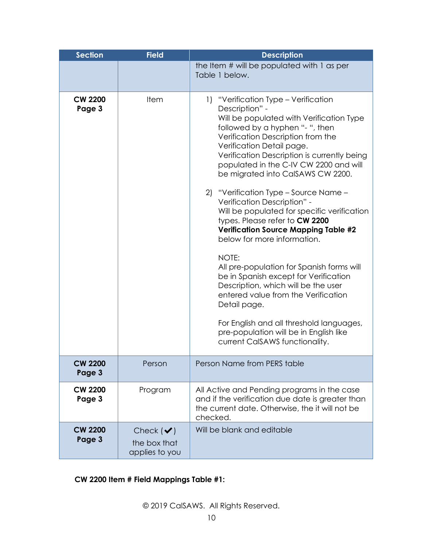| <b>Section</b>           | <b>Field</b>                                     | <b>Description</b>                                                                                                                                                                                                                                                                                                                        |
|--------------------------|--------------------------------------------------|-------------------------------------------------------------------------------------------------------------------------------------------------------------------------------------------------------------------------------------------------------------------------------------------------------------------------------------------|
|                          |                                                  | the Item # will be populated with 1 as per<br>Table 1 below.                                                                                                                                                                                                                                                                              |
|                          |                                                  |                                                                                                                                                                                                                                                                                                                                           |
| <b>CW 2200</b><br>Page 3 | Item                                             | "Verification Type - Verification"<br>1)<br>Description" -<br>Will be populated with Verification Type<br>followed by a hyphen "- ", then<br>Verification Description from the<br>Verification Detail page.<br>Verification Description is currently being<br>populated in the C-IV CW 2200 and will<br>be migrated into CalSAWS CW 2200. |
|                          |                                                  | "Verification Type - Source Name -<br>2)<br>Verification Description" -<br>Will be populated for specific verification<br>types. Please refer to CW 2200<br><b>Verification Source Mapping Table #2</b><br>below for more information.                                                                                                    |
|                          |                                                  | NOTE:<br>All pre-population for Spanish forms will<br>be in Spanish except for Verification<br>Description, which will be the user<br>entered value from the Verification<br>Detail page.                                                                                                                                                 |
|                          |                                                  | For English and all threshold languages,<br>pre-population will be in English like<br>current CalSAWS functionality.                                                                                                                                                                                                                      |
| <b>CW 2200</b><br>Page 3 | Person                                           | Person Name from PERS table                                                                                                                                                                                                                                                                                                               |
| <b>CW 2200</b><br>Page 3 | Program                                          | All Active and Pending programs in the case<br>and if the verification due date is greater than<br>the current date. Otherwise, the it will not be<br>checked.                                                                                                                                                                            |
| <b>CW 2200</b><br>Page 3 | Check $(\vee)$<br>the box that<br>applies to you | Will be blank and editable                                                                                                                                                                                                                                                                                                                |

## **CW 2200 Item # Field Mappings Table #1:**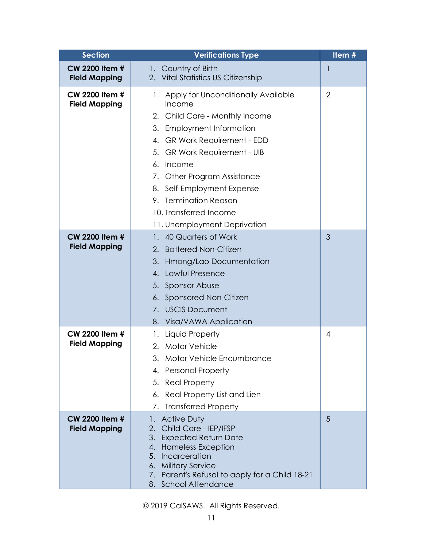| <b>Section</b>        | <b>Verifications Type</b>                                  | Item #         |
|-----------------------|------------------------------------------------------------|----------------|
| <b>CW 2200 Item #</b> | 1. Country of Birth                                        | 1              |
| <b>Field Mapping</b>  | 2. Vital Statistics US Citizenship                         |                |
| <b>CW 2200 Item #</b> | 1. Apply for Unconditionally Available                     | $\overline{2}$ |
| <b>Field Mapping</b>  | Income                                                     |                |
|                       | 2. Child Care - Monthly Income                             |                |
|                       | 3. Employment Information                                  |                |
|                       | 4. GR Work Requirement - EDD                               |                |
|                       | 5. GR Work Requirement - UIB                               |                |
|                       | 6.<br>Income                                               |                |
|                       | 7. Other Program Assistance                                |                |
|                       | 8. Self-Employment Expense                                 |                |
|                       | 9. Termination Reason                                      |                |
|                       | 10. Transferred Income                                     |                |
|                       | 11. Unemployment Deprivation                               |                |
| <b>CW 2200 Item #</b> | 1. 40 Quarters of Work                                     | 3              |
| <b>Field Mapping</b>  | <b>Battered Non-Citizen</b><br>2.                          |                |
|                       | 3.<br>Hmong/Lao Documentation                              |                |
|                       | 4. Lawful Presence                                         |                |
|                       | 5. Sponsor Abuse                                           |                |
|                       | 6. Sponsored Non-Citizen                                   |                |
|                       | 7. USCIS Document                                          |                |
|                       | 8. Visa/VAWA Application                                   |                |
| CW 2200 Item #        | Liquid Property<br>1.                                      | 4              |
| <b>Field Mapping</b>  | 2. Motor Vehicle                                           |                |
|                       | 3. Motor Vehicle Encumbrance                               |                |
|                       | 4. Personal Property                                       |                |
|                       | <b>Real Property</b><br>5.                                 |                |
|                       | Real Property List and Lien<br>6.                          |                |
|                       | <b>Transferred Property</b><br>7.                          |                |
| <b>CW 2200 Item #</b> | <b>Active Duty</b><br>1.                                   | 5              |
| <b>Field Mapping</b>  | Child Care - IEP/IFSP<br>2.                                |                |
|                       | 3.<br><b>Expected Return Date</b><br>4. Homeless Exception |                |
|                       | Incarceration<br>5.                                        |                |
|                       | 6. Military Service                                        |                |
|                       | 7. Parent's Refusal to apply for a Child 18-21             |                |
|                       | 8. School Attendance                                       |                |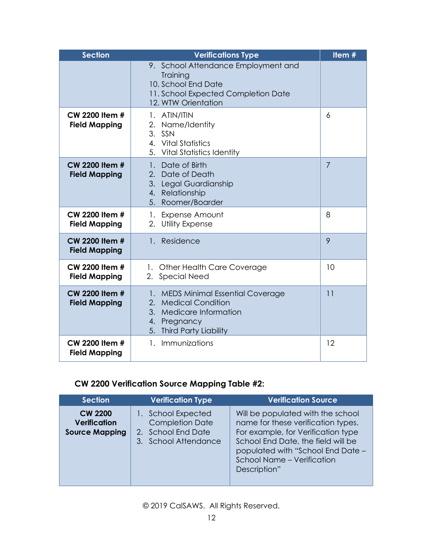| <b>Section</b>                                | <b>Verifications Type</b>                                                                                                                   | Item#          |
|-----------------------------------------------|---------------------------------------------------------------------------------------------------------------------------------------------|----------------|
|                                               | 9. School Attendance Employment and<br>Training<br>10. School End Date<br>11. School Expected Completion Date<br>12. WTW Orientation        |                |
| <b>CW 2200 Item #</b><br><b>Field Mapping</b> | 1. ATIN/ITIN<br>2. Name/Identity<br>3. SSN<br>4. Vital Statistics<br>5. Vital Statistics Identity                                           | 6              |
| <b>CW 2200 Item #</b><br><b>Field Mapping</b> | Date of Birth<br>$1 -$<br>2. Date of Death<br>3. Legal Guardianship<br>4. Relationship<br>5. Roomer/Boarder                                 | $\overline{7}$ |
| CW 2200 Item #<br><b>Field Mapping</b>        | 1. Expense Amount<br><b>Utility Expense</b><br>2.                                                                                           | 8              |
| <b>CW 2200 Item #</b><br><b>Field Mapping</b> | 1. Residence                                                                                                                                | 9              |
| CW 2200 Item #<br><b>Field Mapping</b>        | 1. Other Health Care Coverage<br>2. Special Need                                                                                            | 10             |
| <b>CW 2200 Item #</b><br><b>Field Mapping</b> | 1. MEDS Minimal Essential Coverage<br>2. Medical Condition<br>3. Medicare Information<br>4. Pregnancy<br><b>Third Party Liability</b><br>5. | 11             |
| CW 2200 Item #<br><b>Field Mapping</b>        | Immunizations<br>$\mathbf{1}$                                                                                                               | 12             |

## **CW 2200 Verification Source Mapping Table #2:**

| <b>Section</b>                                                 | <b>Verification Type</b>                                                                   | <b>Verification Source</b>                                                                                                                                                                                                             |
|----------------------------------------------------------------|--------------------------------------------------------------------------------------------|----------------------------------------------------------------------------------------------------------------------------------------------------------------------------------------------------------------------------------------|
| <b>CW 2200</b><br><b>Verification</b><br><b>Source Mapping</b> | 1. School Expected<br><b>Completion Date</b><br>2. School End Date<br>3. School Attendance | Will be populated with the school<br>name for these verification types.<br>For example, for Verification type<br>School End Date, the field will be<br>populated with "School End Date -<br>School Name - Verification<br>Description" |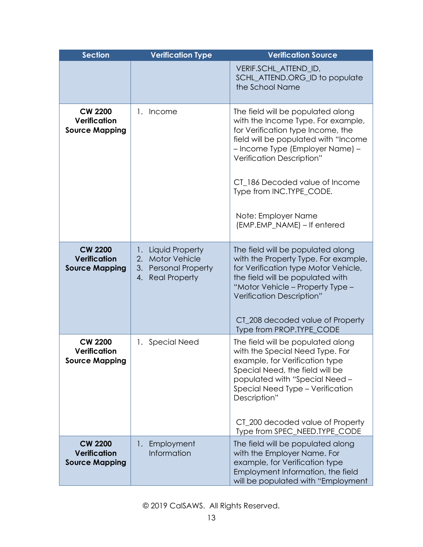| <b>Section</b>                                                 | <b>Verification Type</b>                                                                               | <b>Verification Source</b>                                                                                                                                                                                                                                                                                                               |
|----------------------------------------------------------------|--------------------------------------------------------------------------------------------------------|------------------------------------------------------------------------------------------------------------------------------------------------------------------------------------------------------------------------------------------------------------------------------------------------------------------------------------------|
|                                                                |                                                                                                        | VERIF.SCHL ATTEND ID,<br>SCHL_ATTEND.ORG_ID to populate<br>the School Name                                                                                                                                                                                                                                                               |
| <b>CW 2200</b><br>Verification<br><b>Source Mapping</b>        | 1. Income                                                                                              | The field will be populated along<br>with the Income Type. For example,<br>for Verification type Income, the<br>field will be populated with "Income<br>- Income Type (Employer Name) -<br>Verification Description"<br>CT_186 Decoded value of Income<br>Type from INC.TYPE_CODE.<br>Note: Employer Name<br>(EMP.EMP_NAME) - If entered |
| <b>CW 2200</b><br><b>Verification</b><br><b>Source Mapping</b> | <b>Liquid Property</b><br>1.<br>2. Motor Vehicle<br>3. Personal Property<br><b>Real Property</b><br>4. | The field will be populated along<br>with the Property Type. For example,<br>for Verification type Motor Vehicle,<br>the field will be populated with<br>"Motor Vehicle - Property Type -<br>Verification Description"<br>CT_208 decoded value of Property<br>Type from PROP.TYPE_CODE                                                   |
| <b>CW 2200</b><br>Verification<br><b>Source Mapping</b>        | 1. Special Need                                                                                        | The field will be populated along<br>with the Special Need Type. For<br>example, for Verification type<br>Special Need, the field will be<br>populated with "Special Need -<br>Special Need Type - Verification<br>Description"<br>CT_200 decoded value of Property<br>Type from SPEC_NEED.TYPE_CODE                                     |
| <b>CW 2200</b><br><b>Verification</b><br><b>Source Mapping</b> | Employment<br>$\mathbf{1}$ .<br>Information                                                            | The field will be populated along<br>with the Employer Name. For<br>example, for Verification type<br>Employment Information, the field<br>will be populated with "Employment                                                                                                                                                            |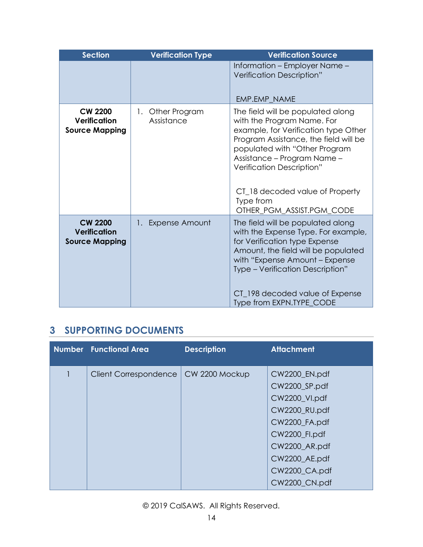| <b>Section</b>                                                 | <b>Verification Type</b>          | <b>Verification Source</b>                                                                                                                                                                                                                                                                                                 |
|----------------------------------------------------------------|-----------------------------------|----------------------------------------------------------------------------------------------------------------------------------------------------------------------------------------------------------------------------------------------------------------------------------------------------------------------------|
|                                                                |                                   | Information - Employer Name -<br>Verification Description"<br>EMP.EMP NAME                                                                                                                                                                                                                                                 |
| <b>CW 2200</b><br><b>Verification</b><br><b>Source Mapping</b> | Other Program<br>1.<br>Assistance | The field will be populated along<br>with the Program Name. For<br>example, for Verification type Other<br>Program Assistance, the field will be<br>populated with "Other Program<br>Assistance – Program Name –<br>Verification Description"<br>CT_18 decoded value of Property<br>Type from<br>OTHER_PGM_ASSIST.PGM_CODE |
| <b>CW 2200</b><br><b>Verification</b><br><b>Source Mapping</b> | 1. Expense Amount                 | The field will be populated along<br>with the Expense Type. For example,<br>for Verification type Expense<br>Amount, the field will be populated<br>with "Expense Amount - Expense<br>Type - Verification Description"<br>CT_198 decoded value of Expense<br>Type from EXPN.TYPE_CODE                                      |

## <span id="page-13-0"></span>**3 SUPPORTING DOCUMENTS**

| <b>Number</b> Functional Area | <b>Description</b> | <b>Attachment</b>                                                                                                          |
|-------------------------------|--------------------|----------------------------------------------------------------------------------------------------------------------------|
| <b>Client Correspondence</b>  | CW 2200 Mockup     | CW2200_EN.pdf<br>CW2200_SP.pdf<br>CW2200_VI.pdf<br>CW2200_RU.pdf<br>CW2200_FA.pdf<br><b>CW2200 Fl.pdf</b><br>CW2200_AR.pdf |
|                               |                    | CW2200_AE.pdf<br>CW2200_CA.pdf<br>CW2200_CN.pdf                                                                            |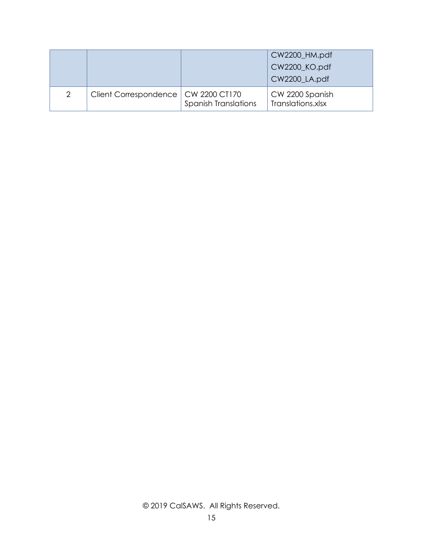|   |                                       |                             | CW2200_HM.pdf<br>CW2200_KO.pdf<br>CW2200_LA.pdf |
|---|---------------------------------------|-----------------------------|-------------------------------------------------|
| 2 | Client Correspondence   CW 2200 CT170 | <b>Spanish Translations</b> | CW 2200 Spanish<br>Translations.xlsx            |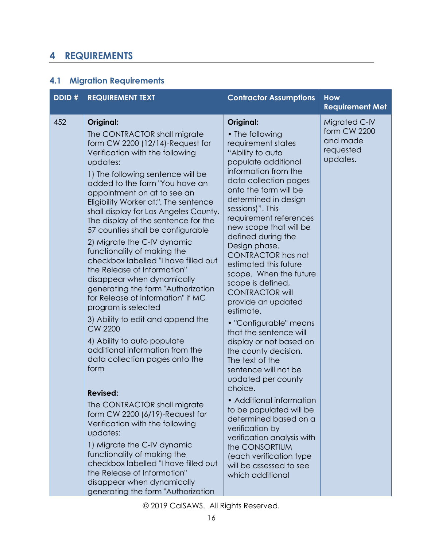## <span id="page-15-0"></span>**4 REQUIREMENTS**

## <span id="page-15-1"></span>**4.1 Migration Requirements**

| DDID# | <b>REQUIREMENT TEXT</b>                                                                                                                                                                                                                                                                                                                                                                                                                                                                                                                                                                                                                                                                                                                                                                                                                                                                                                                                                                                                                                                                                                                                                                | <b>Contractor Assumptions</b>                                                                                                                                                                                                                                                                                                                                                                                                                                                                                                                                                                                                                                                                                                                                                                                                                                                                     | <b>How</b><br><b>Requirement Met</b>                               |
|-------|----------------------------------------------------------------------------------------------------------------------------------------------------------------------------------------------------------------------------------------------------------------------------------------------------------------------------------------------------------------------------------------------------------------------------------------------------------------------------------------------------------------------------------------------------------------------------------------------------------------------------------------------------------------------------------------------------------------------------------------------------------------------------------------------------------------------------------------------------------------------------------------------------------------------------------------------------------------------------------------------------------------------------------------------------------------------------------------------------------------------------------------------------------------------------------------|---------------------------------------------------------------------------------------------------------------------------------------------------------------------------------------------------------------------------------------------------------------------------------------------------------------------------------------------------------------------------------------------------------------------------------------------------------------------------------------------------------------------------------------------------------------------------------------------------------------------------------------------------------------------------------------------------------------------------------------------------------------------------------------------------------------------------------------------------------------------------------------------------|--------------------------------------------------------------------|
| 452   | Original:<br>The CONTRACTOR shall migrate<br>form CW 2200 (12/14)-Request for<br>Verification with the following<br>updates:<br>1) The following sentence will be<br>added to the form "You have an<br>appointment on at to see an<br>Eligibility Worker at:". The sentence<br>shall display for Los Angeles County.<br>The display of the sentence for the<br>57 counties shall be configurable<br>2) Migrate the C-IV dynamic<br>functionality of making the<br>checkbox labelled "I have filled out<br>the Release of Information"<br>disappear when dynamically<br>generating the form "Authorization<br>for Release of Information" if MC<br>program is selected<br>3) Ability to edit and append the<br><b>CW 2200</b><br>4) Ability to auto populate<br>additional information from the<br>data collection pages onto the<br>form<br><b>Revised:</b><br>The CONTRACTOR shall migrate<br>form CW 2200 (6/19)-Request for<br>Verification with the following<br>updates:<br>1) Migrate the C-IV dynamic<br>functionality of making the<br>checkbox labelled "I have filled out<br>the Release of Information"<br>disappear when dynamically<br>generating the form "Authorization | Original:<br>• The following<br>requirement states<br>"Ability to auto<br>populate additional<br>information from the<br>data collection pages<br>onto the form will be<br>determined in design<br>sessions)". This<br>requirement references<br>new scope that will be<br>defined during the<br>Design phase.<br><b>CONTRACTOR has not</b><br>estimated this future<br>scope. When the future<br>scope is defined,<br><b>CONTRACTOR will</b><br>provide an updated<br>estimate.<br>• "Configurable" means<br>that the sentence will<br>display or not based on<br>the county decision.<br>The text of the<br>sentence will not be<br>updated per county<br>choice.<br>• Additional information<br>to be populated will be<br>determined based on a<br>verification by<br>verification analysis with<br>the CONSORTIUM<br>(each verification type)<br>will be assessed to see<br>which additional | Migrated C-IV<br>form CW 2200<br>and made<br>requested<br>updates. |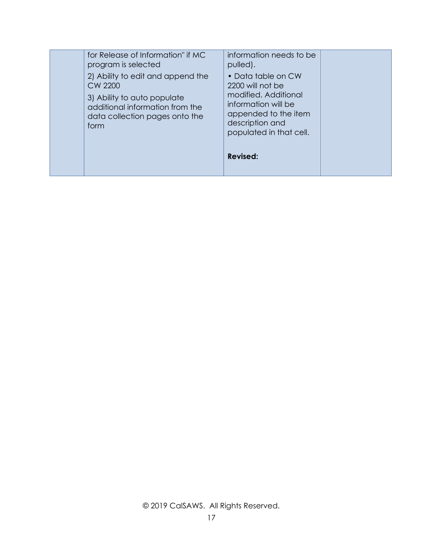| for Release of Information" if MC<br>program is selected                                                                                                 | information needs to be<br>pulled).                                                                                                                         |  |
|----------------------------------------------------------------------------------------------------------------------------------------------------------|-------------------------------------------------------------------------------------------------------------------------------------------------------------|--|
| 2) Ability to edit and append the<br>CW 2200<br>3) Ability to auto populate<br>additional information from the<br>data collection pages onto the<br>form | • Data table on CW<br>2200 will not be<br>modified. Additional<br>information will be<br>appended to the item<br>description and<br>populated in that cell. |  |
|                                                                                                                                                          | <b>Revised:</b>                                                                                                                                             |  |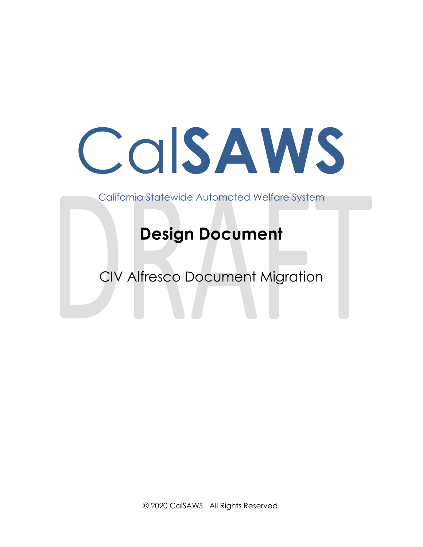# Cal**SAWS**

California Statewide Automated Welfare System

# **Design Document**

CIV Alfresco Document Migration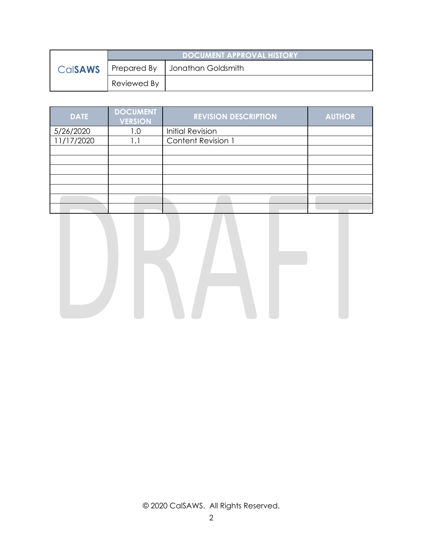|                | <b>DOCUMENT APPROVAL HISTORY</b> |                    |
|----------------|----------------------------------|--------------------|
| <b>Calsaws</b> | Prepared By                      | Jonathan Goldsmith |
|                | Reviewed By                      |                    |

| <b>DATE</b> | <b>DOCUMENT</b><br><b>VERSION</b> | <b>REVISION DESCRIPTION</b> | <b>AUTHOR</b> |
|-------------|-----------------------------------|-----------------------------|---------------|
| 5/26/2020   | 0. ا                              | <b>Initial Revision</b>     |               |
| 11/17/2020  |                                   | Content Revision 1          |               |
|             |                                   |                             |               |
|             |                                   |                             |               |
|             |                                   |                             |               |
|             |                                   |                             |               |
|             |                                   |                             |               |
|             |                                   |                             |               |
|             |                                   |                             |               |

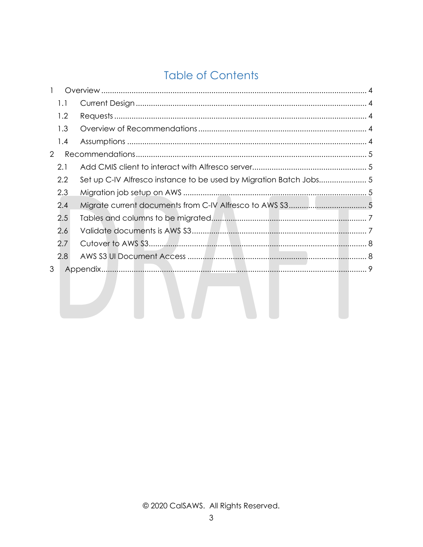## **Table of Contents**

|   | 1.1 |                                                                    |  |
|---|-----|--------------------------------------------------------------------|--|
|   | 1.2 |                                                                    |  |
|   | 1.3 |                                                                    |  |
|   | 1.4 |                                                                    |  |
| 2 |     |                                                                    |  |
|   | 2.1 |                                                                    |  |
|   | 2.2 | Set up C-IV Alfresco instance to be used by Migration Batch Jobs 5 |  |
|   | 2.3 |                                                                    |  |
|   | 2.4 |                                                                    |  |
|   | 2.5 |                                                                    |  |
|   | 2.6 |                                                                    |  |
|   | 2.7 |                                                                    |  |
|   | 2.8 |                                                                    |  |
| 3 |     |                                                                    |  |
|   |     |                                                                    |  |
|   |     |                                                                    |  |
|   |     |                                                                    |  |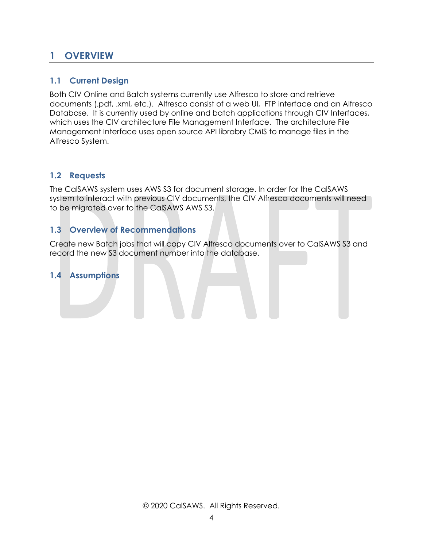## <span id="page-20-0"></span>**1 OVERVIEW**

## <span id="page-20-1"></span>**1.1 Current Design**

Both CIV Online and Batch systems currently use Alfresco to store and retrieve documents (.pdf, .xml, etc.). Alfresco consist of a web UI, FTP interface and an Alfresco Database. It is currently used by online and batch applications through CIV Interfaces, which uses the CIV architecture File Management Interface. The architecture File Management Interface uses open source API librabry CMIS to manage files in the Alfresco System.

## <span id="page-20-2"></span>**1.2 Requests**

The CalSAWS system uses AWS S3 for document storage. In order for the CalSAWS system to interact with previous CIV documents, the CIV Alfresco documents will need to be migrated over to the CalSAWS AWS S3.

## <span id="page-20-3"></span>**1.3 Overview of Recommendations**

Create new Batch jobs that will copy CIV Alfresco documents over to CalSAWS S3 and record the new S3 document number into the database.

#### <span id="page-20-4"></span>**1.4 Assumptions**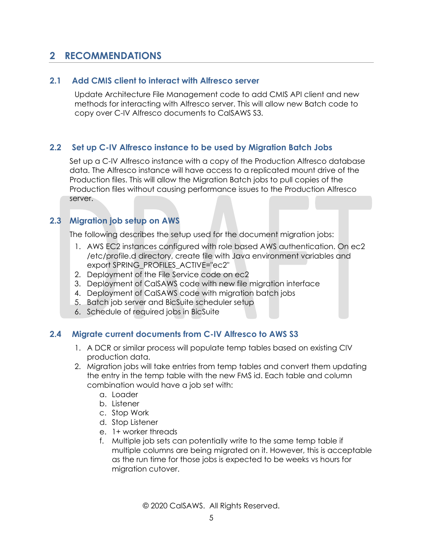## <span id="page-21-0"></span>**2 RECOMMENDATIONS**

#### <span id="page-21-1"></span>**2.1 Add CMIS client to interact with Alfresco server**

Update Architecture File Management code to add CMIS API client and new methods for interacting with Alfresco server. This will allow new Batch code to copy over C-IV Alfresco documents to CalSAWS S3.

## <span id="page-21-2"></span>**2.2 Set up C-IV Alfresco instance to be used by Migration Batch Jobs**

Set up a C-IV Alfresco instance with a copy of the Production Alfresco database data. The Alfresco instance will have access to a replicated mount drive of the Production files. This will allow the Migration Batch jobs to pull copies of the Production files without causing performance issues to the Production Alfresco server.

## <span id="page-21-3"></span>**2.3 Migration job setup on AWS**

The following describes the setup used for the document migration jobs:

- 1. AWS EC2 instances configured with role based AWS authentication. On ec2 /etc/profile.d directory, create file with Java environment variables and export SPRING\_PROFILES\_ACTIVE="ec2"
- 2. Deployment of the File Service code on ec2
- 3. Deployment of CalSAWS code with new file migration interface
- 4. Deployment of CalSAWS code with migration batch jobs
- 5. Batch job server and BicSuite scheduler setup
- <span id="page-21-4"></span>6. Schedule of required jobs in BicSuite

#### **2.4 Migrate current documents from C-IV Alfresco to AWS S3**

- 1. A DCR or similar process will populate temp tables based on existing CIV production data.
- 2. Migration jobs will take entries from temp tables and convert them updating the entry in the temp table with the new FMS id. Each table and column combination would have a job set with:
	- a. Loader
	- b. Listener
	- c. Stop Work
	- d. Stop Listener
	- e. 1+ worker threads
	- f. Multiple job sets can potentially write to the same temp table if multiple columns are being migrated on it. However, this is acceptable as the run time for those jobs is expected to be weeks vs hours for migration cutover.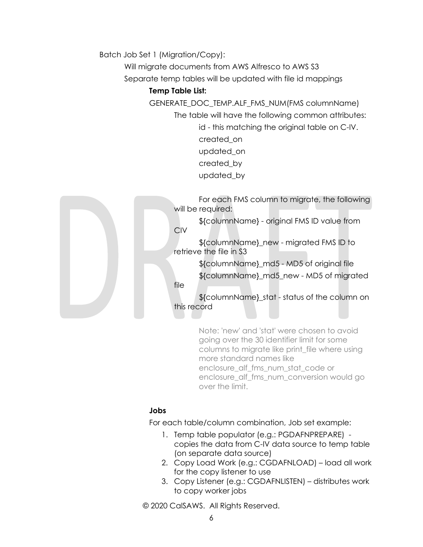Batch Job Set 1 (Migration/Copy):

Will migrate documents from AWS Alfresco to AWS S3

Separate temp tables will be updated with file id mappings

#### **Temp Table List:**

GENERATE\_DOC\_TEMP.ALF\_FMS\_NUM(FMS columnName)

The table will have the following common attributes:

id - this matching the original table on C-IV. created\_on updated\_on created\_by updated\_by



For each FMS column to migrate, the following will be required:

\${columnName} - original FMS ID value from CIV

\${columnName}\_new - migrated FMS ID to retrieve the file in S3

> \${columnName}\_md5 - MD5 of original file \${columnName}\_md5\_new - MD5 of migrated

file

\${columnName}\_stat - status of the column on this record

> Note: 'new' and 'stat' were chosen to avoid going over the 30 identifier limit for some columns to migrate like print\_file where using more standard names like enclosure\_alf\_fms\_num\_stat\_code or enclosure\_alf\_fms\_num\_conversion would go over the limit.

## **Jobs**

For each table/column combination, Job set example:

- 1. Temp table populator (e.g.: PGDAFNPREPARE) copies the data from C-IV data source to temp table (on separate data source)
- 2. Copy Load Work (e.g.: CGDAFNLOAD) load all work for the copy listener to use
- 3. Copy Listener (e.g.: CGDAFNLISTEN) distributes work to copy worker jobs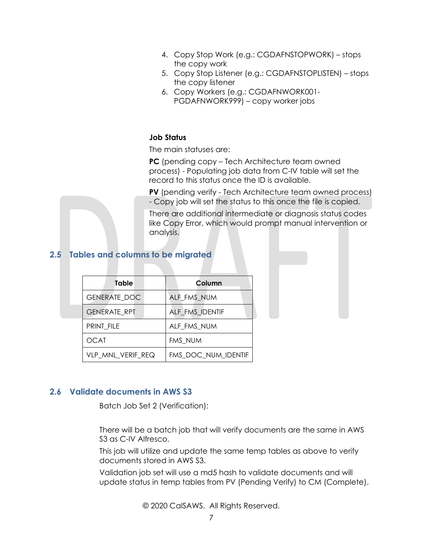- 4. Copy Stop Work (e.g.: CGDAFNSTOPWORK) stops the copy work
- 5. Copy Stop Listener (e.g.: CGDAFNSTOPLISTEN) stops the copy listener
- 6. Copy Workers (e.g.: CGDAFNWORK001- PGDAFNWORK999) – copy worker jobs

#### **Job Status**

The main statuses are:

**PC** (pending copy – Tech Architecture team owned process) - Populating job data from C-IV table will set the record to this status once the ID is available.

**PV** (pending verify - Tech Architecture team owned process) - Copy job will set the status to this once the file is copied.

There are additional intermediate or diagnosis status codes like Copy Error, which would prompt manual intervention or analysis.

## <span id="page-23-0"></span>**2.5 Tables and columns to be migrated**

| Table               | Column              |
|---------------------|---------------------|
| <b>GENERATE DOC</b> | ALF_FMS_NUM         |
| <b>GENERATE RPT</b> | ALF FMS IDENTIF     |
| PRINT FILE          | ALF FMS NUM         |
| OCAT                | FMS NUM             |
| VLP MNL VERIF REQ   | FMS DOC NUM IDENTIF |

#### <span id="page-23-1"></span>**2.6 Validate documents in AWS S3**

Batch Job Set 2 (Verification):

There will be a batch job that will verify documents are the same in AWS S3 as C-IV Alfresco.

This job will utilize and update the same temp tables as above to verify documents stored in AWS S3.

Validation job set will use a md5 hash to validate documents and will update status in temp tables from PV (Pending Verify) to CM (Complete).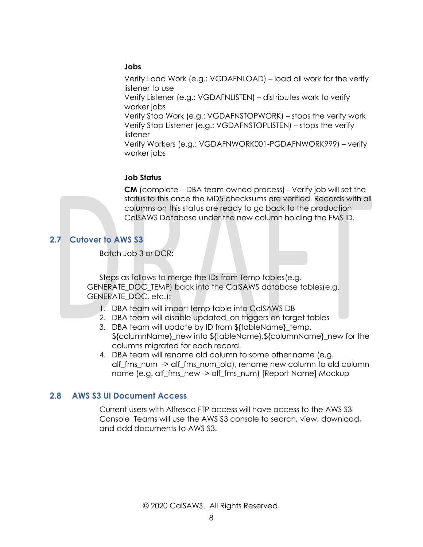#### **Jobs**

Verify Load Work (e.g.: VGDAFNLOAD) – load all work for the verify listener to use

Verify Listener (e.g.: VGDAFNLISTEN) – distributes work to verify worker jobs

Verify Stop Work (e.g.: VGDAFNSTOPWORK) – stops the verify work Verify Stop Listener (e.g.: VGDAFNSTOPLISTEN) – stops the verify listener

Verify Workers (e.g.: VGDAFNWORK001-PGDAFNWORK999) – verify worker jobs

#### **Job Status**

**CM** (complete – DBA team owned process) - Verify job will set the status to this once the MD5 checksums are verified. Records with all columns on this status are ready to go back to the production CalSAWS Database under the new column holding the FMS ID.

## <span id="page-24-0"></span>**2.7 Cutover to AWS S3**

Batch Job 3 or DCR:

Steps as follows to merge the IDs from Temp tables(e.g. GENERATE\_DOC\_TEMP) back into the CalSAWS database tables(e.g. GENERATE\_DOC, etc.):

- 1. DBA team will import temp table into CalSAWS DB
- 2. DBA team will disable updated\_on triggers on target tables
- 3. DBA team will update by ID from \${tableName}\_temp. \${columnName}\_new into \${tableName}.\${columnName}\_new for the columns migrated for each record.
- 4. DBA team will rename old column to some other name (e.g. alf\_fms\_num -> alf\_fms\_num\_old), rename new column to old column name (e.g. alf\_fms\_new -> alf\_fms\_num) [Report Name] Mockup

## <span id="page-24-1"></span>**2.8 AWS S3 UI Document Access**

Current users with Alfresco FTP access will have access to the AWS S3 Console Teams will use the AWS S3 console to search, view, download, and add documents to AWS S3.